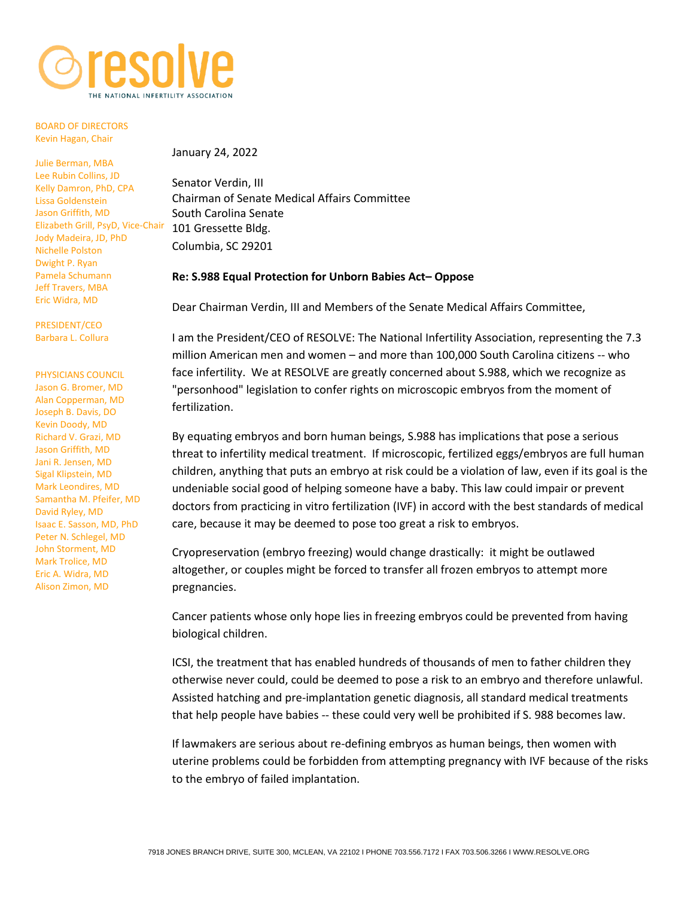

## BOARD OF DIRECTORS Kevin Hagan, Chair

Julie Berman, MBA Lee Rubin Collins, JD Kelly Damron, PhD, CPA Lissa Goldenstein Jason Griffith, MD Elizabeth Grill, PsyD, Vice-Chair 101 Gressette Bldg. Jody Madeira, JD, PhD Nichelle Polston Dwight P. Ryan Pamela Schumann Jeff Travers, MBA Eric Widra, MD

PRESIDENT/CEO Barbara L. Collura

## PHYSICIANS COUNCIL

[Jason G. Bromer, MD](https://www.shadygrovefertility.com/doctors/bromer) [Alan Copperman, MD](https://rmany.com/our-practice/team-of-physicians/dr-alan-copperman/) Joseph B. Davis, DO [Kevin Doody, MD](http://www.embryo.net/fertility-center/fertility-doctors) [Richard V. Grazi, MD](https://www.genesisfertility.com/team_member/richard-v-grazi-md-facog-facs/) [Jason Griffith, MD](http://www.hfi-ivf.com/meet-your-team/doctors/jason-griffith/) Jani R. Jensen, MD Sigal Klipstein, MD Mark Leondires, MD [Samantha M. Pfeifer, MD](http://ivf.org/about-crm/physicians/samantha-pfeifer/) David Ryley, MD [Isaac E. Sasson, MD, PhD](https://www.shadygrovefertility.com/doctors/sasson) [Peter N. Schlegel, MD](https://weillcornell.org/pnschleg) John Storment, MD Mark Trolice, MD [Eric A. Widra, MD](https://www.shadygrovefertility.com/doctors/widra) Alison Zimon, MD

January 24, 2022

Senator Verdin, III Chairman of Senate Medical Affairs Committee South Carolina Senate Columbia, SC 29201

## **Re: S.988 Equal Protection for Unborn Babies Act– Oppose**

Dear Chairman Verdin, III and Members of the Senate Medical Affairs Committee,

I am the President/CEO of RESOLVE: The National Infertility Association, representing the 7.3 million American men and women – and more than 100,000 South Carolina citizens -- who face infertility. We at RESOLVE are greatly concerned about S.988, which we recognize as "personhood" legislation to confer rights on microscopic embryos from the moment of fertilization.

By equating embryos and born human beings, S.988 has implications that pose a serious threat to infertility medical treatment. If microscopic, fertilized eggs/embryos are full human children, anything that puts an embryo at risk could be a violation of law, even if its goal is the undeniable social good of helping someone have a baby. This law could impair or prevent doctors from practicing in vitro fertilization (IVF) in accord with the best standards of medical care, because it may be deemed to pose too great a risk to embryos.

Cryopreservation (embryo freezing) would change drastically: it might be outlawed altogether, or couples might be forced to transfer all frozen embryos to attempt more pregnancies.

Cancer patients whose only hope lies in freezing embryos could be prevented from having biological children.

ICSI, the treatment that has enabled hundreds of thousands of men to father children they otherwise never could, could be deemed to pose a risk to an embryo and therefore unlawful. Assisted hatching and pre-implantation genetic diagnosis, all standard medical treatments that help people have babies -- these could very well be prohibited if S. 988 becomes law.

If lawmakers are serious about re-defining embryos as human beings, then women with uterine problems could be forbidden from attempting pregnancy with IVF because of the risks to the embryo of failed implantation.